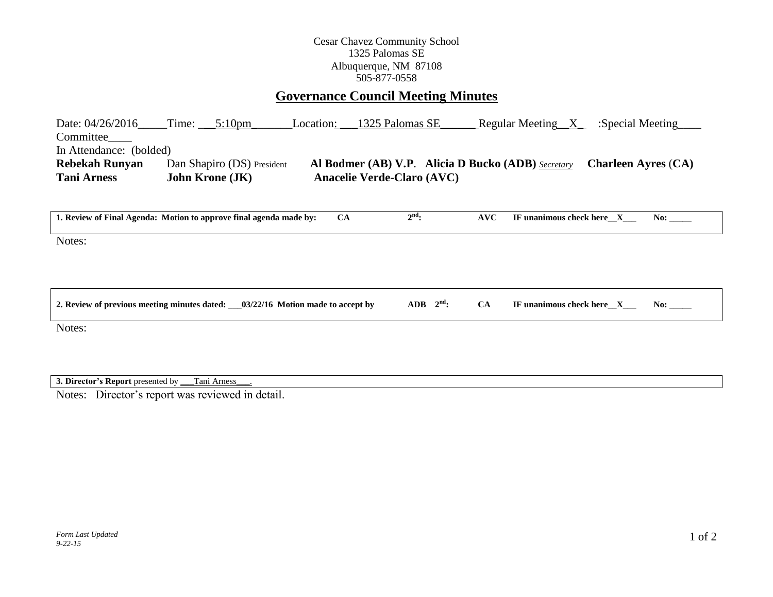## Cesar Chavez Community School 1325 Palomas SE Albuquerque, NM 87108 505-877-0558

## **Governance Council Meeting Minutes**

| Date: $04/26/2016$      | Time:                  | $5:10 \text{pm}$           | Location: | 1325 Palomas SE                   | Regular Meeting <sub>N</sub>                              | :Special Meeting           |
|-------------------------|------------------------|----------------------------|-----------|-----------------------------------|-----------------------------------------------------------|----------------------------|
| Committee               |                        |                            |           |                                   |                                                           |                            |
| In Attendance: (bolded) |                        |                            |           |                                   |                                                           |                            |
| <b>Rebekah Runyan</b>   |                        | Dan Shapiro (DS) President |           |                                   | <b>Al Bodmer (AB) V.P. Alicia D Bucko (ADB)</b> Secretary | <b>Charleen Ayres (CA)</b> |
| <b>Tani Arness</b>      | <b>John Krone (JK)</b> |                            |           | <b>Anacelie Verde-Claro (AVC)</b> |                                                           |                            |
|                         |                        |                            |           |                                   |                                                           |                            |

| 1. Review of Final Agenda: Motion to approve final agenda made by: | <b>CA</b> | $2^{\text{nd}}$ : | AVC | IF unanimous check here X | $\bf No:$ |
|--------------------------------------------------------------------|-----------|-------------------|-----|---------------------------|-----------|
| Notes:                                                             |           |                   |     |                           |           |
|                                                                    |           |                   |     |                           |           |

| 2. Review of previous meeting minutes dated: | $03/22/16$ Motion made to accept by | ADB<br>$\Delta$ na | diunanimous check here t | N0: |  |
|----------------------------------------------|-------------------------------------|--------------------|--------------------------|-----|--|
|                                              |                                     |                    |                          |     |  |

Notes:

**3. Director's Report** presented by \_\_\_Tani Arness\_\_\_.

Notes: Director's report was reviewed in detail.